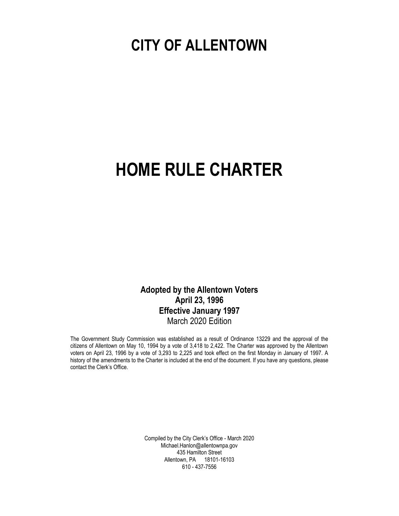# **CITY OF ALLENTOWN**

# **HOME RULE CHARTER**

**Adopted by the Allentown Voters April 23, 1996 Effective January 1997** March 2020 Edition

The Government Study Commission was established as a result of Ordinance 13229 and the approval of the citizens of Allentown on May 10, 1994 by a vote of 3,418 to 2,422. The Charter was approved by the Allentown voters on April 23, 1996 by a vote of 3,293 to 2,225 and took effect on the first Monday in January of 1997. A history of the amendments to the Charter is included at the end of the document. If you have any questions, please contact the Clerk's Office.

> Compiled by the City Clerk's Office - March 2020 Michael.Hanlon@allentownpa.gov 435 Hamilton Street Allentown, PA 18101-16103 610 - 437-7556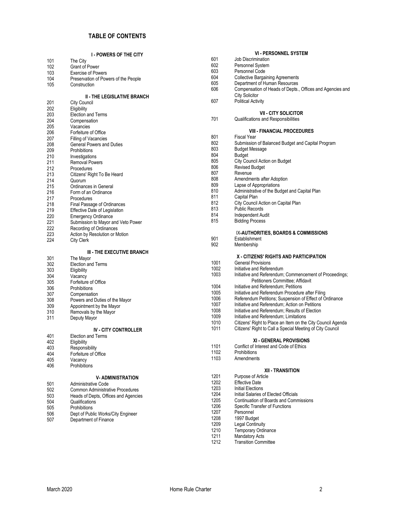#### **TABLE OF CONTENTS**

|     | <b>I - POWERS OF THE CITY</b>           |      | <b>VI - PERSONNEL SYSTEM</b>                                |
|-----|-----------------------------------------|------|-------------------------------------------------------------|
| 101 | The City                                | 601  | Job Discrimination                                          |
| 102 | <b>Grant of Power</b>                   | 602  | <b>Personnel System</b>                                     |
| 103 | <b>Exercise of Powers</b>               | 603  | Personnel Code                                              |
| 104 | Preservation of Powers of the People    | 604  | <b>Collective Bargaining Agreements</b>                     |
| 105 |                                         | 605  | Department of Human Resources                               |
|     | Construction                            | 606  | Compensation of Heads of Depts., Offices and Agencies and   |
|     |                                         |      | <b>City Solicitor</b>                                       |
|     | <b>II - THE LEGISLATIVE BRANCH</b>      | 607  | <b>Political Activity</b>                                   |
| 201 | <b>City Council</b>                     |      |                                                             |
| 202 | Eligibility                             |      |                                                             |
| 203 | <b>Election and Terms</b>               |      | <b>VII - CITY SOLICITOR</b>                                 |
| 204 | Compensation                            | 701  | <b>Qualifications and Responsibilities</b>                  |
| 205 | Vacancies                               |      |                                                             |
| 206 | Forfeiture of Office                    |      | <b>VIII - FINANCIAL PROCEDURES</b>                          |
| 207 | Filling of Vacancies                    | 801  | Fiscal Year                                                 |
| 208 | General Powers and Duties               | 802  | Submission of Balanced Budget and Capital Program           |
| 209 | Prohibitions                            | 803  | <b>Budget Message</b>                                       |
| 210 | Investigations                          | 804  | Budget                                                      |
| 211 | <b>Removal Powers</b>                   | 805  | City Council Action on Budget                               |
| 212 | Procedures                              | 806  | <b>Revised Budget</b>                                       |
| 213 |                                         | 807  | Revenue                                                     |
|     | Citizens' Right To Be Heard             | 808  | Amendments after Adoption                                   |
| 214 | Quorum                                  | 809  | Lapse of Appropriations                                     |
| 215 | Ordinances in General                   | 810  | Administrative of the Budget and Capital Plan               |
| 216 | Form of an Ordinance                    |      |                                                             |
| 217 | Procedures                              | 811  | Capital Plan                                                |
| 218 | Final Passage of Ordinances             | 812  | City Council Action on Capital Plan                         |
| 219 | Effective Date of Legislation           | 813  | <b>Public Records</b>                                       |
| 220 | <b>Emergency Ordinance</b>              | 814  | Independent Audit                                           |
| 221 | Submission to Mayor and Veto Power      | 815  | <b>Bidding Process</b>                                      |
| 222 | Recording of Ordinances                 |      |                                                             |
| 223 | Action by Resolution or Motion          |      | IX-AUTHORITIES, BOARDS & COMMISSIONS                        |
| 224 | <b>City Clerk</b>                       | 901  | Establishment                                               |
|     |                                         | 902  | Membership                                                  |
|     | <b>III - THE EXECUTIVE BRANCH</b>       |      |                                                             |
| 301 | The Mayor                               |      | X - CITIZENS' RIGHTS AND PARTICIPATION                      |
| 302 | <b>Election and Terms</b>               | 1001 | <b>General Provisions</b>                                   |
| 303 | Eligibility                             | 1002 | Initiative and Referendum                                   |
| 304 | Vacancy                                 | 1003 | Initiative and Referendum; Commencement of Proceedings;     |
| 305 | Forfeiture of Office                    |      | Petitioners Committee; Affidavit                            |
|     |                                         | 1004 | Initiative and Referendum; Petitions                        |
| 306 | Prohibitions                            | 1005 | Initiative and Referendum Procedure after Filing            |
| 307 | Compensation                            | 1006 | Referendum Petitions; Suspension of Effect of Ordinance     |
| 308 | Powers and Duties of the Mayor          | 1007 | Initiative and Referendum; Action on Petitions              |
| 309 | Appointment by the Mayor                |      |                                                             |
| 310 | Removals by the Mayor                   | 1008 | Initiative and Referendum; Results of Election              |
| 311 | Deputy Mayor                            | 1009 | Initiative and Referendum; Limitations                      |
|     |                                         | 1010 | Citizens' Right to Place an Item on the City Council Agenda |
|     | <b>IV - CITY CONTROLLER</b>             | 1011 | Citizens' Right to Call a Special Meeting of City Council   |
| 401 | <b>Election and Terms</b>               |      |                                                             |
| 402 | Eligibility                             |      | XI - GENERAL PROVISIONS                                     |
| 403 | Responsibility                          | 1101 | Conflict of Interest and Code of Ethics                     |
| 404 | Forfeiture of Office                    | 1102 | <b>Prohibitions</b>                                         |
| 405 | Vacancy                                 | 1103 | Amendments                                                  |
| 406 | Prohibitions                            |      |                                                             |
|     |                                         |      | XII TRANSITION                                              |
|     | <b>V-ADMINISTRATION</b>                 | 1201 | Purpose of Article                                          |
| 501 | <b>Administrative Code</b>              | 1202 | <b>Effective Date</b>                                       |
| 502 | <b>Common Administrative Procedures</b> | 1203 | Initial Elections                                           |
|     |                                         | 1204 | Initial Salaries of Elected Officials                       |
| 503 | Heads of Depts, Offices and Agencies    | 1205 | <b>Continuation of Boards and Commissions</b>               |
| 504 | Qualifications                          | 1206 | Specific Transfer of Functions                              |
| 505 | Prohibitions                            | 1207 | Personnel                                                   |
| 506 | Dept of Public Works/City Engineer      | 1208 | 1997 Budget                                                 |
| 507 | Department of Finance                   | 1209 | <b>Legal Continuity</b>                                     |
|     |                                         |      |                                                             |
|     |                                         | 1210 | <b>Temporary Ordinance</b>                                  |
|     |                                         | 1211 | <b>Mandatory Acts</b>                                       |

Transition Committee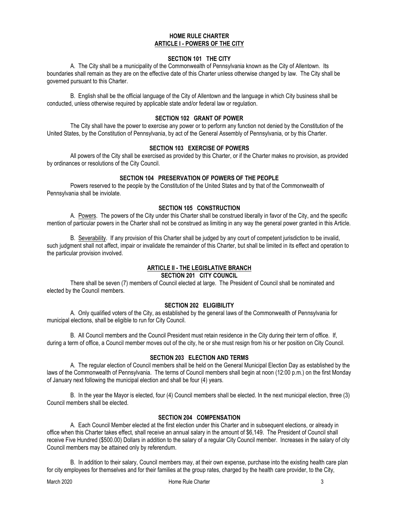#### **HOME RULE CHARTER ARTICLE I - POWERS OF THE CITY**

#### **SECTION 101 THE CITY**

A. The City shall be a municipality of the Commonwealth of Pennsylvania known as the City of Allentown. Its boundaries shall remain as they are on the effective date of this Charter unless otherwise changed by law. The City shall be governed pursuant to this Charter.

B. English shall be the official language of the City of Allentown and the language in which City business shall be conducted, unless otherwise required by applicable state and/or federal law or regulation.

#### **SECTION 102 GRANT OF POWER**

The City shall have the power to exercise any power or to perform any function not denied by the Constitution of the United States, by the Constitution of Pennsylvania, by act of the General Assembly of Pennsylvania, or by this Charter.

#### **SECTION 103 EXERCISE OF POWERS**

All powers of the City shall be exercised as provided by this Charter, or if the Charter makes no provision, as provided by ordinances or resolutions of the City Council.

#### **SECTION 104 PRESERVATION OF POWERS OF THE PEOPLE**

Powers reserved to the people by the Constitution of the United States and by that of the Commonwealth of Pennsylvania shall be inviolate.

#### **SECTION 105 CONSTRUCTION**

A. Powers. The powers of the City under this Charter shall be construed liberally in favor of the City, and the specific mention of particular powers in the Charter shall not be construed as limiting in any way the general power granted in this Article.

B. Severability. If any provision of this Charter shall be judged by any court of competent jurisdiction to be invalid, such judgment shall not affect, impair or invalidate the remainder of this Charter, but shall be limited in its effect and operation to the particular provision involved.

# **ARTICLE II - THE LEGISLATIVE BRANCH**

#### **SECTION 201 CITY COUNCIL**

There shall be seven (7) members of Council elected at large. The President of Council shall be nominated and elected by the Council members.

#### **SECTION 202 ELIGIBILITY**

A. Only qualified voters of the City, as established by the general laws of the Commonwealth of Pennsylvania for municipal elections, shall be eligible to run for City Council.

B. All Council members and the Council President must retain residence in the City during their term of office. If, during a term of office, a Council member moves out of the city, he or she must resign from his or her position on City Council.

#### **SECTION 203 ELECTION AND TERMS**

A. The regular election of Council members shall be held on the General Municipal Election Day as established by the laws of the Commonwealth of Pennsylvania. The terms of Council members shall begin at noon (12:00 p.m.) on the first Monday of January next following the municipal election and shall be four (4) years.

B. In the year the Mayor is elected, four (4) Council members shall be elected. In the next municipal election, three (3) Council members shall be elected.

#### **SECTION 204 COMPENSATION**

A. Each Council Member elected at the first election under this Charter and in subsequent elections, or already in office when this Charter takes effect, shall receive an annual salary in the amount of \$6,149. The President of Council shall receive Five Hundred (\$500.00) Dollars in addition to the salary of a regular City Council member. Increases in the salary of city Council members may be attained only by referendum.

B. In addition to their salary, Council members may, at their own expense, purchase into the existing health care plan for city employees for themselves and for their families at the group rates, charged by the health care provider, to the City,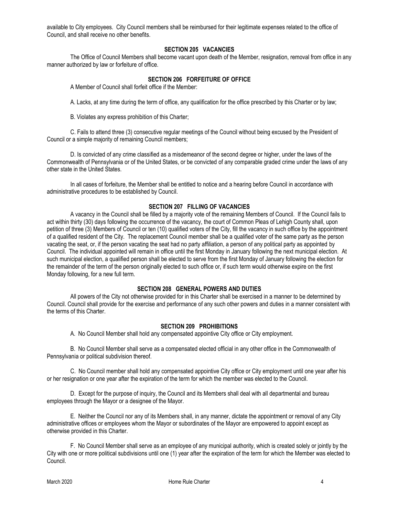available to City employees. City Council members shall be reimbursed for their legitimate expenses related to the office of Council, and shall receive no other benefits.

#### **SECTION 205 VACANCIES**

The Office of Council Members shall become vacant upon death of the Member, resignation, removal from office in any manner authorized by law or forfeiture of office.

#### **SECTION 206 FORFEITURE OF OFFICE**

A Member of Council shall forfeit office if the Member:

A. Lacks, at any time during the term of office, any qualification for the office prescribed by this Charter or by law;

B. Violates any express prohibition of this Charter;

C. Fails to attend three (3) consecutive regular meetings of the Council without being excused by the President of Council or a simple majority of remaining Council members;

D. Is convicted of any crime classified as a misdemeanor of the second degree or higher, under the laws of the Commonwealth of Pennsylvania or of the United States, or be convicted of any comparable graded crime under the laws of any other state in the United States.

In all cases of forfeiture, the Member shall be entitled to notice and a hearing before Council in accordance with administrative procedures to be established by Council.

#### **SECTION 207 FILLING OF VACANCIES**

A vacancy in the Council shall be filled by a majority vote of the remaining Members of Council. If the Council fails to act within thirty (30) days following the occurrence of the vacancy, the court of Common Pleas of Lehigh County shall, upon petition of three (3) Members of Council or ten (10) qualified voters of the City, fill the vacancy in such office by the appointment of a qualified resident of the City. The replacement Council member shall be a qualified voter of the same party as the person vacating the seat, or, if the person vacating the seat had no party affiliation, a person of any political party as appointed by Council. The individual appointed will remain in office until the first Monday in January following the next municipal election. At such municipal election, a qualified person shall be elected to serve from the first Monday of January following the election for the remainder of the term of the person originally elected to such office or, if such term would otherwise expire on the first Monday following, for a new full term.

#### **SECTION 208 GENERAL POWERS AND DUTIES**

All powers of the City not otherwise provided for in this Charter shall be exercised in a manner to be determined by Council. Council shall provide for the exercise and performance of any such other powers and duties in a manner consistent with the terms of this Charter.

#### **SECTION 209 PROHIBITIONS**

A. No Council Member shall hold any compensated appointive City office or City employment.

B. No Council Member shall serve as a compensated elected official in any other office in the Commonwealth of Pennsylvania or political subdivision thereof.

C. No Council member shall hold any compensated appointive City office or City employment until one year after his or her resignation or one year after the expiration of the term for which the member was elected to the Council.

D. Except for the purpose of inquiry, the Council and its Members shall deal with all departmental and bureau employees through the Mayor or a designee of the Mayor.

E. Neither the Council nor any of its Members shall, in any manner, dictate the appointment or removal of any City administrative offices or employees whom the Mayor or subordinates of the Mayor are empowered to appoint except as otherwise provided in this Charter.

F. No Council Member shall serve as an employee of any municipal authority, which is created solely or jointly by the City with one or more political subdivisions until one (1) year after the expiration of the term for which the Member was elected to Council.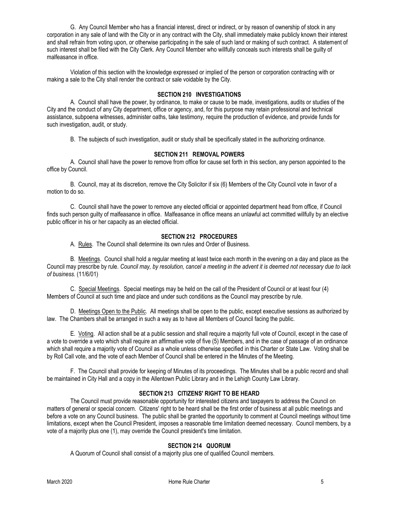G. Any Council Member who has a financial interest, direct or indirect, or by reason of ownership of stock in any corporation in any sale of land with the City or in any contract with the City, shall immediately make publicly known their interest and shall refrain from voting upon, or otherwise participating in the sale of such land or making of such contract. A statement of such interest shall be filed with the City Clerk. Any Council Member who willfully conceals such interests shall be guilty of malfeasance in office.

Violation of this section with the knowledge expressed or implied of the person or corporation contracting with or making a sale to the City shall render the contract or sale voidable by the City.

#### **SECTION 210 INVESTIGATIONS**

A. Council shall have the power, by ordinance, to make or cause to be made, investigations, audits or studies of the City and the conduct of any City department, office or agency, and, for this purpose may retain professional and technical assistance, subpoena witnesses, administer oaths, take testimony, require the production of evidence, and provide funds for such investigation, audit, or study.

B. The subjects of such investigation, audit or study shall be specifically stated in the authorizing ordinance.

#### **SECTION 211 REMOVAL POWERS**

A. Council shall have the power to remove from office for cause set forth in this section, any person appointed to the office by Council.

B. Council, may at its discretion, remove the City Solicitor if six (6) Members of the City Council vote in favor of a motion to do so.

C. Council shall have the power to remove any elected official or appointed department head from office, if Council finds such person guilty of malfeasance in office. Malfeasance in office means an unlawful act committed willfully by an elective public officer in his or her capacity as an elected official.

#### **SECTION 212 PROCEDURES**

A. Rules. The Council shall determine its own rules and Order of Business.

B. Meetings. Council shall hold a regular meeting at least twice each month in the evening on a day and place as the Council may prescribe by rule. *Council may, by resolution, cancel a meeting in the advent it is deemed not necessary due to lack of business.* (11/6/01)

C. Special Meetings. Special meetings may be held on the call of the President of Council or at least four (4) Members of Council at such time and place and under such conditions as the Council may prescribe by rule.

D. Meetings Open to the Public. All meetings shall be open to the public, except executive sessions as authorized by law. The Chambers shall be arranged in such a way as to have all Members of Council facing the public.

E. Voting. All action shall be at a public session and shall require a majority full vote of Council, except in the case of a vote to override a veto which shall require an affirmative vote of five (5) Members, and in the case of passage of an ordinance which shall require a majority vote of Council as a whole unless otherwise specified in this Charter or State Law. Voting shall be by Roll Call vote, and the vote of each Member of Council shall be entered in the Minutes of the Meeting.

F. The Council shall provide for keeping of Minutes of its proceedings. The Minutes shall be a public record and shall be maintained in City Hall and a copy in the Allentown Public Library and in the Lehigh County Law Library.

#### **SECTION 213 CITIZENS' RIGHT TO BE HEARD**

The Council must provide reasonable opportunity for interested citizens and taxpayers to address the Council on matters of general or special concern. Citizens' right to be heard shall be the first order of business at all public meetings and before a vote on any Council business. The public shall be granted the opportunity to comment at Council meetings without time limitations, except when the Council President, imposes a reasonable time limitation deemed necessary. Council members, by a vote of a majority plus one (1), may override the Council president's time limitation.

#### **SECTION 214 QUORUM**

A Quorum of Council shall consist of a majority plus one of qualified Council members.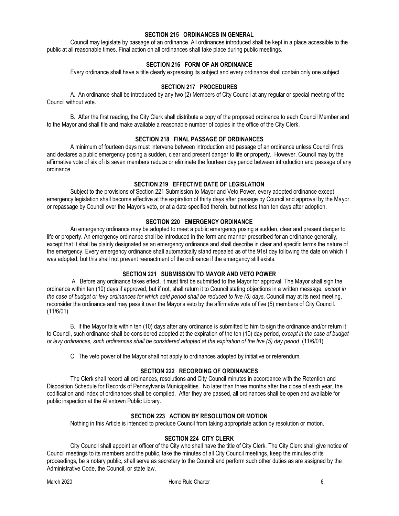#### **SECTION 215 ORDINANCES IN GENERAL**

Council may legislate by passage of an ordinance. All ordinances introduced shall be kept in a place accessible to the public at all reasonable times. Final action on all ordinances shall take place during public meetings.

#### **SECTION 216 FORM OF AN ORDINANCE**

Every ordinance shall have a title clearly expressing its subject and every ordinance shall contain only one subject.

#### **SECTION 217 PROCEDURES**

A. An ordinance shall be introduced by any two (2) Members of City Council at any regular or special meeting of the Council without vote.

B. After the first reading, the City Clerk shall distribute a copy of the proposed ordinance to each Council Member and to the Mayor and shall file and make available a reasonable number of copies in the office of the City Clerk.

#### **SECTION 218 FINAL PASSAGE OF ORDINANCES**

A minimum of fourteen days must intervene between introduction and passage of an ordinance unless Council finds and declares a public emergency posing a sudden, clear and present danger to life or property. However, Council may by the affirmative vote of six of its seven members reduce or eliminate the fourteen day period between introduction and passage of any ordinance.

#### **SECTION 219 EFFECTIVE DATE OF LEGISLATION**

Subject to the provisions of Section 221 Submission to Mayor and Veto Power, every adopted ordinance except emergency legislation shall become effective at the expiration of thirty days after passage by Council and approval by the Mayor, or repassage by Council over the Mayor's veto, or at a date specified therein, but not less than ten days after adoption.

#### **SECTION 220 EMERGENCY ORDINANCE**

An emergency ordinance may be adopted to meet a public emergency posing a sudden, clear and present danger to life or property. An emergency ordinance shall be introduced in the form and manner prescribed for an ordinance generally, except that it shall be plainly designated as an emergency ordinance and shall describe in clear and specific terms the nature of the emergency. Every emergency ordinance shall automatically stand repealed as of the 91st day following the date on which it was adopted, but this shall not prevent reenactment of the ordinance if the emergency still exists.

#### **SECTION 221 SUBMISSION TO MAYOR AND VETO POWER**

A. Before any ordinance takes effect, it must first be submitted to the Mayor for approval. The Mayor shall sign the ordinance within ten (10) days if approved, but if not, shall return it to Council stating objections in a written message, *except in the case of budget or levy ordinances for which said period shall be reduced to five (5) days*. Council may at its next meeting, reconsider the ordinance and may pass it over the Mayor's veto by the affirmative vote of five (5) members of City Council. (11/6/01)

B. If the Mayor fails within ten (10) days after any ordinance is submitted to him to sign the ordinance and/or return it to Council, such ordinance shall be considered adopted at the expiration of the ten (10) day period, *except in the case of budget or levy ordinances, such ordinances shall be considered adopted at the expiration of the five (5) day period*. (11/6/01)

C. The veto power of the Mayor shall not apply to ordinances adopted by initiative or referendum.

#### **SECTION 222 RECORDING OF ORDINANCES**

The Clerk shall record all ordinances, resolutions and City Council minutes in accordance with the Retention and Disposition Schedule for Records of Pennsylvania Municipalities. No later than three months after the close of each year, the codification and index of ordinances shall be compiled. After they are passed, all ordinances shall be open and available for public inspection at the Allentown Public Library.

#### **SECTION 223 ACTION BY RESOLUTION OR MOTION**

Nothing in this Article is intended to preclude Council from taking appropriate action by resolution or motion.

#### **SECTION 224 CITY CLERK**

City Council shall appoint an officer of the City who shall have the title of City Clerk. The City Clerk shall give notice of Council meetings to its members and the public, take the minutes of all City Council meetings, keep the minutes of its proceedings, be a notary public, shall serve as secretary to the Council and perform such other duties as are assigned by the Administrative Code, the Council, or state law.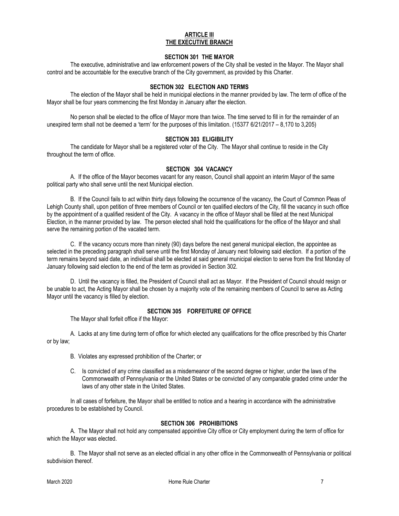#### **ARTICLE III THE EXECUTIVE BRANCH**

#### **SECTION 301 THE MAYOR**

The executive, administrative and law enforcement powers of the City shall be vested in the Mayor. The Mayor shall control and be accountable for the executive branch of the City government, as provided by this Charter.

#### **SECTION 302 ELECTION AND TERMS**

The election of the Mayor shall be held in municipal elections in the manner provided by law. The term of office of the Mayor shall be four years commencing the first Monday in January after the election.

No person shall be elected to the office of Mayor more than twice. The time served to fill in for the remainder of an unexpired term shall not be deemed a 'term' for the purposes of this limitation. (15377 6/21/2017 – 8,170 to 3,205)

#### **SECTION 303 ELIGIBILITY**

The candidate for Mayor shall be a registered voter of the City. The Mayor shall continue to reside in the City throughout the term of office.

#### **SECTION 304 VACANCY**

A. If the office of the Mayor becomes vacant for any reason, Council shall appoint an interim Mayor of the same political party who shall serve until the next Municipal election.

B. If the Council fails to act within thirty days following the occurrence of the vacancy, the Court of Common Pleas of Lehigh County shall, upon petition of three members of Council or ten qualified electors of the City, fill the vacancy in such office by the appointment of a qualified resident of the City. A vacancy in the office of Mayor shall be filled at the next Municipal Election, in the manner provided by law. The person elected shall hold the qualifications for the office of the Mayor and shall serve the remaining portion of the vacated term.

C. If the vacancy occurs more than ninety (90) days before the next general municipal election, the appointee as selected in the preceding paragraph shall serve until the first Monday of January next following said election. If a portion of the term remains beyond said date, an individual shall be elected at said general municipal election to serve from the first Monday of January following said election to the end of the term as provided in Section 302.

D. Until the vacancy is filled, the President of Council shall act as Mayor. If the President of Council should resign or be unable to act, the Acting Mayor shall be chosen by a majority vote of the remaining members of Council to serve as Acting Mayor until the vacancy is filled by election.

#### **SECTION 305 FORFEITURE OF OFFICE**

The Mayor shall forfeit office if the Mayor:

A. Lacks at any time during term of office for which elected any qualifications for the office prescribed by this Charter or by law;

- B. Violates any expressed prohibition of the Charter; or
- C. Is convicted of any crime classified as a misdemeanor of the second degree or higher, under the laws of the Commonwealth of Pennsylvania or the United States or be convicted of any comparable graded crime under the laws of any other state in the United States.

In all cases of forfeiture, the Mayor shall be entitled to notice and a hearing in accordance with the administrative procedures to be established by Council.

#### **SECTION 306 PROHIBITIONS**

A. The Mayor shall not hold any compensated appointive City office or City employment during the term of office for which the Mayor was elected.

B. The Mayor shall not serve as an elected official in any other office in the Commonwealth of Pennsylvania or political subdivision thereof.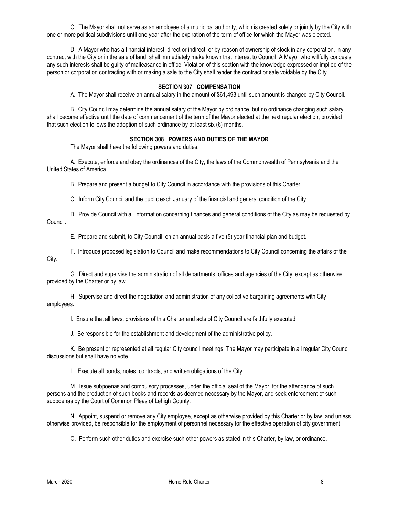C. The Mayor shall not serve as an employee of a municipal authority, which is created solely or jointly by the City with one or more political subdivisions until one year after the expiration of the term of office for which the Mayor was elected.

D. A Mayor who has a financial interest, direct or indirect, or by reason of ownership of stock in any corporation, in any contract with the City or in the sale of land, shall immediately make known that interest to Council. A Mayor who willfully conceals any such interests shall be guilty of malfeasance in office. Violation of this section with the knowledge expressed or implied of the person or corporation contracting with or making a sale to the City shall render the contract or sale voidable by the City.

#### **SECTION 307 COMPENSATION**

A. The Mayor shall receive an annual salary in the amount of \$61,493 until such amount is changed by City Council.

B. City Council may determine the annual salary of the Mayor by ordinance, but no ordinance changing such salary shall become effective until the date of commencement of the term of the Mayor elected at the next regular election, provided that such election follows the adoption of such ordinance by at least six (6) months.

#### **SECTION 308 POWERS AND DUTIES OF THE MAYOR**

The Mayor shall have the following powers and duties:

A. Execute, enforce and obey the ordinances of the City, the laws of the Commonwealth of Pennsylvania and the United States of America.

B. Prepare and present a budget to City Council in accordance with the provisions of this Charter.

C. Inform City Council and the public each January of the financial and general condition of the City.

D. Provide Council with all information concerning finances and general conditions of the City as may be requested by Council.

E. Prepare and submit, to City Council, on an annual basis a five (5) year financial plan and budget.

F. Introduce proposed legislation to Council and make recommendations to City Council concerning the affairs of the

City.

G. Direct and supervise the administration of all departments, offices and agencies of the City, except as otherwise provided by the Charter or by law.

H. Supervise and direct the negotiation and administration of any collective bargaining agreements with City employees.

I. Ensure that all laws, provisions of this Charter and acts of City Council are faithfully executed.

J. Be responsible for the establishment and development of the administrative policy.

K. Be present or represented at all regular City council meetings. The Mayor may participate in all regular City Council discussions but shall have no vote.

L. Execute all bonds, notes, contracts, and written obligations of the City.

M. Issue subpoenas and compulsory processes, under the official seal of the Mayor, for the attendance of such persons and the production of such books and records as deemed necessary by the Mayor, and seek enforcement of such subpoenas by the Court of Common Pleas of Lehigh County.

N. Appoint, suspend or remove any City employee, except as otherwise provided by this Charter or by law, and unless otherwise provided, be responsible for the employment of personnel necessary for the effective operation of city government.

O. Perform such other duties and exercise such other powers as stated in this Charter, by law, or ordinance.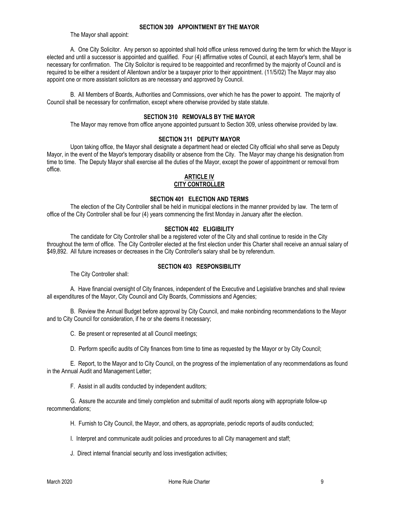#### **SECTION 309 APPOINTMENT BY THE MAYOR**

The Mayor shall appoint:

A. One City Solicitor. Any person so appointed shall hold office unless removed during the term for which the Mayor is elected and until a successor is appointed and qualified. Four (4) affirmative votes of Council, at each Mayor's term, shall be necessary for confirmation. The City Solicitor is required to be reappointed and reconfirmed by the majority of Council and is required to be either a resident of Allentown and/or be a taxpayer prior to their appointment. (11/5/02) The Mayor may also appoint one or more assistant solicitors as are necessary and approved by Council.

B. All Members of Boards, Authorities and Commissions, over which he has the power to appoint. The majority of Council shall be necessary for confirmation, except where otherwise provided by state statute.

#### **SECTION 310 REMOVALS BY THE MAYOR**

The Mayor may remove from office anyone appointed pursuant to Section 309, unless otherwise provided by law.

#### **SECTION 311 DEPUTY MAYOR**

Upon taking office, the Mayor shall designate a department head or elected City official who shall serve as Deputy Mayor, in the event of the Mayor's temporary disability or absence from the City. The Mayor may change his designation from time to time. The Deputy Mayor shall exercise all the duties of the Mayor, except the power of appointment or removal from office.

#### **ARTICLE IV**

#### **CITY CONTROLLER**

#### **SECTION 401 ELECTION AND TERMS**

The election of the City Controller shall be held in municipal elections in the manner provided by law. The term of office of the City Controller shall be four (4) years commencing the first Monday in January after the election.

#### **SECTION 402 ELIGIBILITY**

The candidate for City Controller shall be a registered voter of the City and shall continue to reside in the City throughout the term of office. The City Controller elected at the first election under this Charter shall receive an annual salary of \$49,892. All future increases or decreases in the City Controller's salary shall be by referendum.

#### **SECTION 403 RESPONSIBILITY**

The City Controller shall:

A. Have financial oversight of City finances, independent of the Executive and Legislative branches and shall review all expenditures of the Mayor, City Council and City Boards, Commissions and Agencies;

B. Review the Annual Budget before approval by City Council, and make nonbinding recommendations to the Mayor and to City Council for consideration, if he or she deems it necessary;

C. Be present or represented at all Council meetings;

D. Perform specific audits of City finances from time to time as requested by the Mayor or by City Council;

E. Report, to the Mayor and to City Council, on the progress of the implementation of any recommendations as found in the Annual Audit and Management Letter;

F. Assist in all audits conducted by independent auditors;

G. Assure the accurate and timely completion and submittal of audit reports along with appropriate follow-up recommendations;

H. Furnish to City Council, the Mayor, and others, as appropriate, periodic reports of audits conducted;

I. Interpret and communicate audit policies and procedures to all City management and staff;

J. Direct internal financial security and loss investigation activities;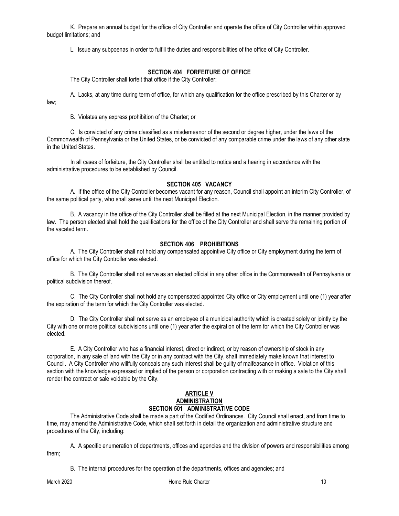K. Prepare an annual budget for the office of City Controller and operate the office of City Controller within approved budget limitations; and

L. Issue any subpoenas in order to fulfill the duties and responsibilities of the office of City Controller.

#### **SECTION 404 FORFEITURE OF OFFICE**

The City Controller shall forfeit that office if the City Controller:

A. Lacks, at any time during term of office, for which any qualification for the office prescribed by this Charter or by

B. Violates any express prohibition of the Charter; or

law;

C. Is convicted of any crime classified as a misdemeanor of the second or degree higher, under the laws of the Commonwealth of Pennsylvania or the United States, or be convicted of any comparable crime under the laws of any other state in the United States.

In all cases of forfeiture, the City Controller shall be entitled to notice and a hearing in accordance with the administrative procedures to be established by Council.

#### **SECTION 405 VACANCY**

A. If the office of the City Controller becomes vacant for any reason, Council shall appoint an interim City Controller, of the same political party, who shall serve until the next Municipal Election.

B. A vacancy in the office of the City Controller shall be filled at the next Municipal Election, in the manner provided by law. The person elected shall hold the qualifications for the office of the City Controller and shall serve the remaining portion of the vacated term.

#### **SECTION 406 PROHIBITIONS**

A. The City Controller shall not hold any compensated appointive City office or City employment during the term of office for which the City Controller was elected.

B. The City Controller shall not serve as an elected official in any other office in the Commonwealth of Pennsylvania or political subdivision thereof.

C. The City Controller shall not hold any compensated appointed City office or City employment until one (1) year after the expiration of the term for which the City Controller was elected.

D. The City Controller shall not serve as an employee of a municipal authority which is created solely or jointly by the City with one or more political subdivisions until one (1) year after the expiration of the term for which the City Controller was elected.

E. A City Controller who has a financial interest, direct or indirect, or by reason of ownership of stock in any corporation, in any sale of land with the City or in any contract with the City, shall immediately make known that interest to Council. A City Controller who willfully conceals any such interest shall be guilty of malfeasance in office. Violation of this section with the knowledge expressed or implied of the person or corporation contracting with or making a sale to the City shall render the contract or sale voidable by the City.

#### **ARTICLE V ADMINISTRATION SECTION 501 ADMINISTRATIVE CODE**

The Administrative Code shall be made a part of the Codified Ordinances. City Council shall enact, and from time to time, may amend the Administrative Code, which shall set forth in detail the organization and administrative structure and procedures of the City, including:

A. A specific enumeration of departments, offices and agencies and the division of powers and responsibilities among them;

B. The internal procedures for the operation of the departments, offices and agencies; and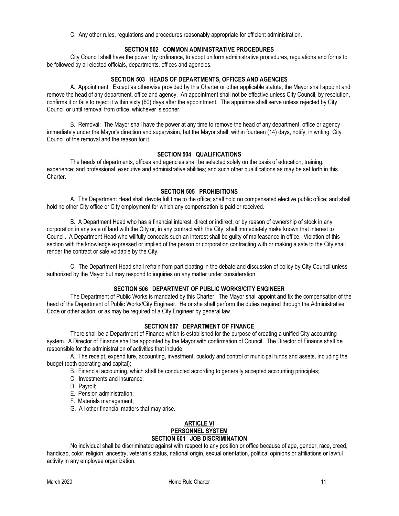C. Any other rules, regulations and procedures reasonably appropriate for efficient administration.

#### **SECTION 502 COMMON ADMINISTRATIVE PROCEDURES**

City Council shall have the power, by ordinance, to adopt uniform administrative procedures, regulations and forms to be followed by all elected officials, departments, offices and agencies.

#### **SECTION 503 HEADS OF DEPARTMENTS, OFFICES AND AGENCIES**

A. Appointment: Except as otherwise provided by this Charter or other applicable statute, the Mayor shall appoint and remove the head of any department, office and agency. An appointment shall not be effective unless City Council, by resolution, confirms it or fails to reject it within sixty (60) days after the appointment. The appointee shall serve unless rejected by City Council or until removal from office, whichever is sooner.

B. Removal: The Mayor shall have the power at any time to remove the head of any department, office or agency immediately under the Mayor's direction and supervision, but the Mayor shall, within fourteen (14) days, notify, in writing, City Council of the removal and the reason for it.

#### **SECTION 504 QUALIFICATIONS**

The heads of departments, offices and agencies shall be selected solely on the basis of education, training, experience; and professional, executive and administrative abilities; and such other qualifications as may be set forth in this Charter.

#### **SECTION 505 PROHIBITIONS**

A. The Department Head shall devote full time to the office; shall hold no compensated elective public office; and shall hold no other City office or City employment for which any compensation is paid or received.

B. A Department Head who has a financial interest, direct or indirect, or by reason of ownership of stock in any corporation in any sale of land with the City or, in any contract with the City, shall immediately make known that interest to Council. A Department Head who willfully conceals such an interest shall be guilty of malfeasance in office. Violation of this section with the knowledge expressed or implied of the person or corporation contracting with or making a sale to the City shall render the contract or sale voidable by the City.

C. The Department Head shall refrain from participating in the debate and discussion of policy by City Council unless authorized by the Mayor but may respond to inquiries on any matter under consideration.

#### **SECTION 506 DEPARTMENT OF PUBLIC WORKS/CITY ENGINEER**

The Department of Public Works is mandated by this Charter. The Mayor shall appoint and fix the compensation of the head of the Department of Public Works/City Engineer. He or she shall perform the duties required through the Administrative Code or other action, or as may be required of a City Engineer by general law.

#### **SECTION 507 DEPARTMENT OF FINANCE**

There shall be a Department of Finance which is established for the purpose of creating a unified City accounting system. A Director of Finance shall be appointed by the Mayor with confirmation of Council. The Director of Finance shall be responsible for the administration of activities that include:

A. The receipt, expenditure, accounting, investment, custody and control of municipal funds and assets, including the budget (both operating and capital);

B. Financial accounting, which shall be conducted according to generally accepted accounting principles;

- C. Investments and insurance;
- D. Payroll;
- E. Pension administration;
- F. Materials management;
- G. All other financial matters that may arise.

#### **ARTICLE VI**

# **PERSONNEL SYSTEM**

## **SECTION 601 JOB DISCRIMINATION**

No individual shall be discriminated against with respect to any position or office because of age, gender, race, creed, handicap, color, religion, ancestry, veteran's status, national origin, sexual orientation, political opinions or affiliations or lawful activity in any employee organization.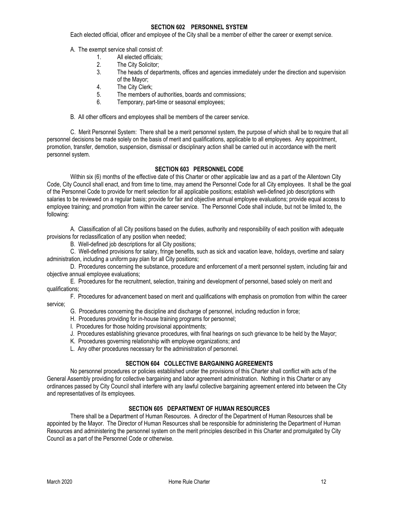#### **SECTION 602 PERSONNEL SYSTEM**

Each elected official, officer and employee of the City shall be a member of either the career or exempt service.

A. The exempt service shall consist of:

- 1. All elected officials;<br>2. The City Solicitor;
- 2. The City Solicitor;<br>3. The heads of depa
- The heads of departments, offices and agencies immediately under the direction and supervision of the Mayor;
- 4. The City Clerk;
- 5. The members of authorities, boards and commissions;
- 6. Temporary, part-time or seasonal employees;

B. All other officers and employees shall be members of the career service.

C. Merit Personnel System: There shall be a merit personnel system, the purpose of which shall be to require that all personnel decisions be made solely on the basis of merit and qualifications, applicable to all employees. Any appointment, promotion, transfer, demotion, suspension, dismissal or disciplinary action shall be carried out in accordance with the merit personnel system.

#### **SECTION 603 PERSONNEL CODE**

Within six (6) months of the effective date of this Charter or other applicable law and as a part of the Allentown City Code, City Council shall enact, and from time to time, may amend the Personnel Code for all City employees. It shall be the goal of the Personnel Code to provide for merit selection for all applicable positions; establish well-defined job descriptions with salaries to be reviewed on a regular basis; provide for fair and objective annual employee evaluations; provide equal access to employee training; and promotion from within the career service. The Personnel Code shall include, but not be limited to, the following:

A. Classification of all City positions based on the duties, authority and responsibility of each position with adequate provisions for reclassification of any position when needed;

B. Well-defined job descriptions for all City positions;

C. Well-defined provisions for salary, fringe benefits, such as sick and vacation leave, holidays, overtime and salary administration, including a uniform pay plan for all City positions;

D. Procedures concerning the substance, procedure and enforcement of a merit personnel system, including fair and objective annual employee evaluations;

E. Procedures for the recruitment, selection, training and development of personnel, based solely on merit and qualifications;

F. Procedures for advancement based on merit and qualifications with emphasis on promotion from within the career service;

G. Procedures concerning the discipline and discharge of personnel, including reduction in force;

- H. Procedures providing for in-house training programs for personnel;
- I. Procedures for those holding provisional appointments;
- J. Procedures establishing grievance procedures, with final hearings on such grievance to be held by the Mayor;
- K. Procedures governing relationship with employee organizations; and
- L. Any other procedures necessary for the administration of personnel.

#### **SECTION 604 COLLECTIVE BARGAINING AGREEMENTS**

No personnel procedures or policies established under the provisions of this Charter shall conflict with acts of the General Assembly providing for collective bargaining and labor agreement administration. Nothing in this Charter or any ordinances passed by City Council shall interfere with any lawful collective bargaining agreement entered into between the City and representatives of its employees.

#### **SECTION 605 DEPARTMENT OF HUMAN RESOURCES**

There shall be a Department of Human Resources. A director of the Department of Human Resources shall be appointed by the Mayor. The Director of Human Resources shall be responsible for administering the Department of Human Resources and administering the personnel system on the merit principles described in this Charter and promulgated by City Council as a part of the Personnel Code or otherwise.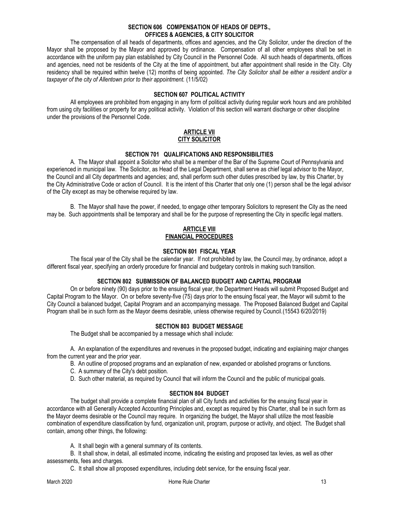#### **SECTION 606 COMPENSATION OF HEADS OF DEPTS., OFFICES & AGENCIES, & CITY SOLICITOR**

The compensation of all heads of departments, offices and agencies, and the City Solicitor, under the direction of the Mayor shall be proposed by the Mayor and approved by ordinance. Compensation of all other employees shall be set in accordance with the uniform pay plan established by City Council in the Personnel Code. All such heads of departments, offices and agencies, need not be residents of the City at the time of appointment, but after appointment shall reside in the City. City residency shall be required within twelve (12) months of being appointed. *The City Solicitor shall be either a resident and/or a taxpayer of the city of Allentown prior to their appointment.* (11/5/02)

#### **SECTION 607 POLITICAL ACTIVITY**

All employees are prohibited from engaging in any form of political activity during regular work hours and are prohibited from using city facilities or property for any political activity. Violation of this section will warrant discharge or other discipline under the provisions of the Personnel Code.

#### **ARTICLE VII CITY SOLICITOR**

#### **SECTION 701 QUALIFICATIONS AND RESPONSIBILITIES**

A. The Mayor shall appoint a Solicitor who shall be a member of the Bar of the Supreme Court of Pennsylvania and experienced in municipal law. The Solicitor, as Head of the Legal Department, shall serve as chief legal advisor to the Mayor, the Council and all City departments and agencies; and, shall perform such other duties prescribed by law, by this Charter, by the City Administrative Code or action of Council. It is the intent of this Charter that only one (1) person shall be the legal advisor of the City except as may be otherwise required by law.

B. The Mayor shall have the power, if needed, to engage other temporary Solicitors to represent the City as the need may be. Such appointments shall be temporary and shall be for the purpose of representing the City in specific legal matters.

#### **ARTICLE VIII FINANCIAL PROCEDURES**

#### **SECTION 801 FISCAL YEAR**

The fiscal year of the City shall be the calendar year. If not prohibited by law, the Council may, by ordinance, adopt a different fiscal year, specifying an orderly procedure for financial and budgetary controls in making such transition.

#### **SECTION 802 SUBMISSION OF BALANCED BUDGET AND CAPITAL PROGRAM**

 On or before ninety (90) days prior to the ensuing fiscal year, the Department Heads will submit Proposed Budget and Capital Program to the Mayor. On or before seventy-five (75) days prior to the ensuing fiscal year, the Mayor will submit to the City Council a balanced budget, Capital Program and an accompanying message. The Proposed Balanced Budget and Capital Program shall be in such form as the Mayor deems desirable, unless otherwise required by Council.(15543 6/20/2019)

#### **SECTION 803 BUDGET MESSAGE**

The Budget shall be accompanied by a message which shall include:

A. An explanation of the expenditures and revenues in the proposed budget, indicating and explaining major changes from the current year and the prior year.

- B. An outline of proposed programs and an explanation of new, expanded or abolished programs or functions.
- C. A summary of the City's debt position.
- D. Such other material, as required by Council that will inform the Council and the public of municipal goals.

#### **SECTION 804 BUDGET**

The budget shall provide a complete financial plan of all City funds and activities for the ensuing fiscal year in accordance with all Generally Accepted Accounting Principles and, except as required by this Charter, shall be in such form as the Mayor deems desirable or the Council may require. In organizing the budget, the Mayor shall utilize the most feasible combination of expenditure classification by fund, organization unit, program, purpose or activity, and object. The Budget shall contain, among other things, the following:

A. It shall begin with a general summary of its contents.

B. It shall show, in detail, all estimated income, indicating the existing and proposed tax levies, as well as other assessments, fees and charges.

C. It shall show all proposed expenditures, including debt service, for the ensuing fiscal year.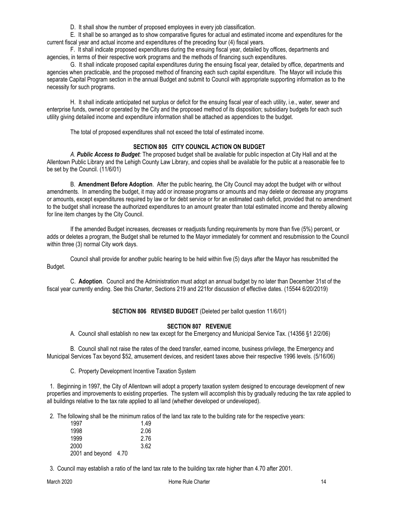D. It shall show the number of proposed employees in every job classification.

E. It shall be so arranged as to show comparative figures for actual and estimated income and expenditures for the current fiscal year and actual income and expenditures of the preceding four (4) fiscal years.

F. It shall indicate proposed expenditures during the ensuing fiscal year, detailed by offices, departments and agencies, in terms of their respective work programs and the methods of financing such expenditures.

G. It shall indicate proposed capital expenditures during the ensuing fiscal year, detailed by office, departments and agencies when practicable, and the proposed method of financing each such capital expenditure. The Mayor will include this separate Capital Program section in the annual Budget and submit to Council with appropriate supporting information as to the necessity for such programs.

H. It shall indicate anticipated net surplus or deficit for the ensuing fiscal year of each utility, i.e., water, sewer and enterprise funds, owned or operated by the City and the proposed method of its disposition; subsidiary budgets for each such utility giving detailed income and expenditure information shall be attached as appendices to the budget.

The total of proposed expenditures shall not exceed the total of estimated income.

#### **SECTION 805 CITY COUNCIL ACTION ON BUDGET**

*A. Public Access to Budget:* The proposed budget shall be available for public inspection at City Hall and at the Allentown Public Library and the Lehigh County Law Library, and copies shall be available for the public at a reasonable fee to be set by the Council. (11/6/01)

B. **Amendment Before Adoption**. After the public hearing, the City Council may adopt the budget with or without amendments. In amending the budget, it may add or increase programs or amounts and may delete or decrease any programs or amounts, except expenditures required by law or for debt service or for an estimated cash deficit, provided that no amendment to the budget shall increase the authorized expenditures to an amount greater than total estimated income and thereby allowing for line item changes by the City Council.

If the amended Budget increases, decreases or readjusts funding requirements by more than five (5%) percent, or adds or deletes a program, the Budget shall be returned to the Mayor immediately for comment and resubmission to the Council within three (3) normal City work days.

Council shall provide for another public hearing to be held within five (5) days after the Mayor has resubmitted the Budget.

C. **Adoption**. Council and the Administration must adopt an annual budget by no later than December 31st of the fiscal year currently ending. See this Charter, Sections 219 and 221for discussion of effective dates. (15544 6/20/2019)

#### **SECTION 806 REVISED BUDGET** (Deleted per ballot question 11/6/01)

#### **SECTION 807 REVENUE**

A. Council shall establish no new tax except for the Emergency and Municipal Service Tax. (14356 §1 2/2/06)

B. Council shall not raise the rates of the deed transfer, earned income, business privilege, the Emergency and Municipal Services Tax beyond \$52, amusement devices, and resident taxes above their respective 1996 levels. (5/16/06)

C. Property Development Incentive Taxation System

 1. Beginning in 1997, the City of Allentown will adopt a property taxation system designed to encourage development of new properties and improvements to existing properties. The system will accomplish this by gradually reducing the tax rate applied to all buildings relative to the tax rate applied to all land (whether developed or undeveloped).

2. The following shall be the minimum ratios of the land tax rate to the building rate for the respective years:

| 1997                 | 1.49 |
|----------------------|------|
| 1998                 | 2.06 |
| 1999                 | 2.76 |
| 2000                 | 3.62 |
| 2001 and beyond 4.70 |      |

3. Council may establish a ratio of the land tax rate to the building tax rate higher than 4.70 after 2001.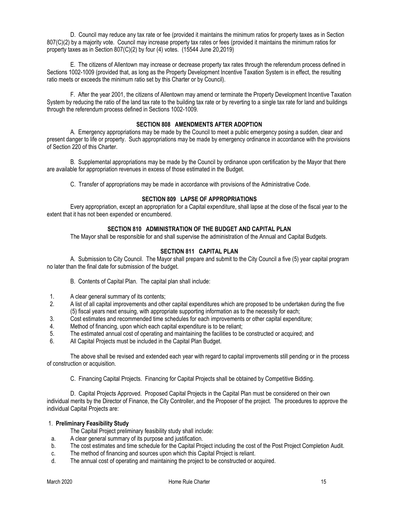D. Council may reduce any tax rate or fee (provided it maintains the minimum ratios for property taxes as in Section 807(C)(2) by a majority vote. Council may increase property tax rates or fees (provided it maintains the minimum ratios for property taxes as in Section 807(C)(2) by four (4) votes. (15544 June 20,2019)

E. The citizens of Allentown may increase or decrease property tax rates through the referendum process defined in Sections 1002-1009 (provided that, as long as the Property Development Incentive Taxation System is in effect, the resulting ratio meets or exceeds the minimum ratio set by this Charter or by Council).

F. After the year 2001, the citizens of Allentown may amend or terminate the Property Development Incentive Taxation System by reducing the ratio of the land tax rate to the building tax rate or by reverting to a single tax rate for land and buildings through the referendum process defined in Sections 1002-1009.

#### **SECTION 808 AMENDMENTS AFTER ADOPTION**

A. Emergency appropriations may be made by the Council to meet a public emergency posing a sudden, clear and present danger to life or property. Such appropriations may be made by emergency ordinance in accordance with the provisions of Section 220 of this Charter.

B. Supplemental appropriations may be made by the Council by ordinance upon certification by the Mayor that there are available for appropriation revenues in excess of those estimated in the Budget.

C. Transfer of appropriations may be made in accordance with provisions of the Administrative Code.

#### **SECTION 809 LAPSE OF APPROPRIATIONS**

Every appropriation, except an appropriation for a Capital expenditure, shall lapse at the close of the fiscal year to the extent that it has not been expended or encumbered.

#### **SECTION 810 ADMINISTRATION OF THE BUDGET AND CAPITAL PLAN**

The Mayor shall be responsible for and shall supervise the administration of the Annual and Capital Budgets.

#### **SECTION 811 CAPITAL PLAN**

A. Submission to City Council. The Mayor shall prepare and submit to the City Council a five (5) year capital program no later than the final date for submission of the budget.

B. Contents of Capital Plan. The capital plan shall include:

- 1. A clear general summary of its contents;
- 2. A list of all capital improvements and other capital expenditures which are proposed to be undertaken during the five (5) fiscal years next ensuing, with appropriate supporting information as to the necessity for each;
- 3. Cost estimates and recommended time schedules for each improvements or other capital expenditure;<br>4. Method of financing, upon which each capital expenditure is to be reliant:
- Method of financing, upon which each capital expenditure is to be reliant;
- 5. The estimated annual cost of operating and maintaining the facilities to be constructed or acquired; and
- 6. All Capital Projects must be included in the Capital Plan Budget.

The above shall be revised and extended each year with regard to capital improvements still pending or in the process of construction or acquisition.

C. Financing Capital Projects. Financing for Capital Projects shall be obtained by Competitive Bidding.

D. Capital Projects Approved. Proposed Capital Projects in the Capital Plan must be considered on their own individual merits by the Director of Finance, the City Controller, and the Proposer of the project. The procedures to approve the individual Capital Projects are:

#### 1. **Preliminary Feasibility Study**

The Capital Project preliminary feasibility study shall include:

- a. A clear general summary of its purpose and justification.
- b. The cost estimates and time schedule for the Capital Project including the cost of the Post Project Completion Audit.
- c. The method of financing and sources upon which this Capital Project is reliant.
- d. The annual cost of operating and maintaining the project to be constructed or acquired.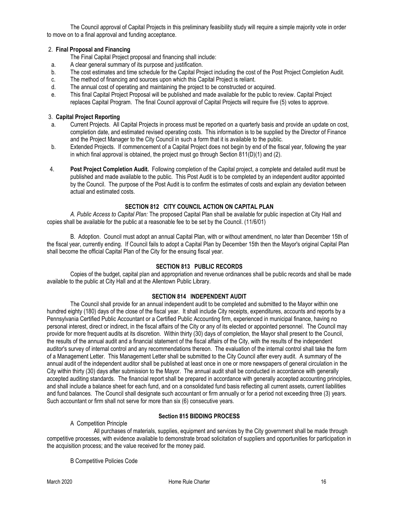The Council approval of Capital Projects in this preliminary feasibility study will require a simple majority vote in order to move on to a final approval and funding acceptance.

#### 2. **Final Proposal and Financing**

- The Final Capital Project proposal and financing shall include:
- a. A clear general summary of its purpose and justification.
- b. The cost estimates and time schedule for the Capital Project including the cost of the Post Project Completion Audit.
- c. The method of financing and sources upon which this Capital Project is reliant.
- d. The annual cost of operating and maintaining the project to be constructed or acquired.
- e. This final Capital Project Proposal will be published and made available for the public to review. Capital Project replaces Capital Program. The final Council approval of Capital Projects will require five (5) votes to approve.

#### 3. **Capital Project Reporting**

- a. Current Projects. All Capital Projects in process must be reported on a quarterly basis and provide an update on cost, completion date, and estimated revised operating costs. This information is to be supplied by the Director of Finance and the Project Manager to the City Council in such a form that it is available to the public.
- b. Extended Projects. If commencement of a Capital Project does not begin by end of the fiscal year, following the year in which final approval is obtained, the project must go through Section 811(D)(1) and (2).
- 4. **Post Project Completion Audit.** Following completion of the Capital project, a complete and detailed audit must be published and made available to the public. This Post Audit is to be completed by an independent auditor appointed by the Council. The purpose of the Post Audit is to confirm the estimates of costs and explain any deviation between actual and estimated costs.

#### **SECTION 812 CITY COUNCIL ACTION ON CAPITAL PLAN**

*A. Public Access to Capital Plan:* The proposed Capital Plan shall be available for public inspection at City Hall and copies shall be available for the public at a reasonable fee to be set by the Council. (11/6/01)

B. Adoption. Council must adopt an annual Capital Plan, with or without amendment, no later than December 15th of the fiscal year, currently ending. If Council fails to adopt a Capital Plan by December 15th then the Mayor's original Capital Plan shall become the official Capital Plan of the City for the ensuing fiscal year.

#### **SECTION 813 PUBLIC RECORDS**

Copies of the budget, capital plan and appropriation and revenue ordinances shall be public records and shall be made available to the public at City Hall and at the Allentown Public Library.

#### **SECTION 814 INDEPENDENT AUDIT**

The Council shall provide for an annual independent audit to be completed and submitted to the Mayor within one hundred eighty (180) days of the close of the fiscal year. It shall include City receipts, expenditures, accounts and reports by a Pennsylvania Certified Public Accountant or a Certified Public Accounting firm, experienced in municipal finance, having no personal interest, direct or indirect, in the fiscal affairs of the City or any of its elected or appointed personnel. The Council may provide for more frequent audits at its discretion. Within thirty (30) days of completion, the Mayor shall present to the Council, the results of the annual audit and a financial statement of the fiscal affairs of the City, with the results of the independent auditor's survey of internal control and any recommendations thereon. The evaluation of the internal control shall take the form of a Management Letter. This Management Letter shall be submitted to the City Council after every audit. A summary of the annual audit of the independent auditor shall be published at least once in one or more newspapers of general circulation in the City within thirty (30) days after submission to the Mayor. The annual audit shall be conducted in accordance with generally accepted auditing standards. The financial report shall be prepared in accordance with generally accepted accounting principles, and shall include a balance sheet for each fund, and on a consolidated fund basis reflecting all current assets, current liabilities and fund balances. The Council shall designate such accountant or firm annually or for a period not exceeding three (3) years. Such accountant or firm shall not serve for more than six (6) consecutive years.

#### **Section 815 BIDDING PROCESS**

#### A Competition Principle

All purchases of materials, supplies, equipment and services by the City government shall be made through competitive processes, with evidence available to demonstrate broad solicitation of suppliers and opportunities for participation in the acquisition process; and the value received for the money paid.

B Competitive Policies Code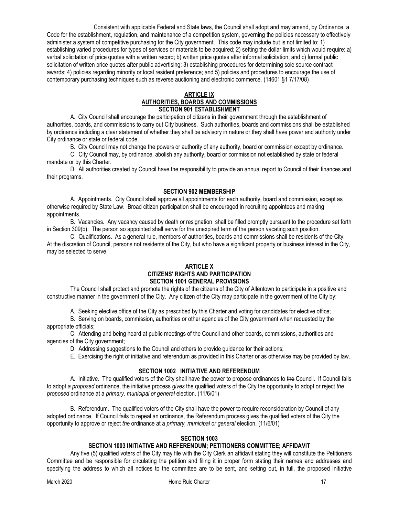Consistent with applicable Federal and State laws, the Council shall adopt and may amend, by Ordinance, a Code for the establishment, regulation, and maintenance of a competition system, governing the policies necessary to effectively administer a system of competitive purchasing for the City government. This code may include but is not limited to: 1) establishing varied procedures for types of services or materials to be acquired; 2) setting the dollar limits which would require: a) verbal solicitation of price quotes with a written record; b) written price quotes after informal solicitation; and c) formal public solicitation of written price quotes after public advertising; 3) establishing procedures for determining sole source contract awards; 4) policies regarding minority or local resident preference; and 5) policies and procedures to encourage the use of contemporary purchasing techniques such as reverse auctioning and electronic commerce. (14601 §1 7/17/08)

#### **ARTICLE IX AUTHORITIES, BOARDS AND COMMISSIONS SECTION 901 ESTABLISHMENT**

A. City Council shall encourage the participation of citizens in their government through the establishment of authorities, boards, and commissions to carry out City business. Such authorities, boards and commissions shall be established by ordinance including a clear statement of whether they shall be advisory in nature or they shall have power and authority under City ordinance or state or federal code.

B. City Council may not change the powers or authority of any authority, board or commission except by ordinance.

C. City Council may, by ordinance, abolish any authority, board or commission not established by state or federal mandate or by this Charter.

D. All authorities created by Council have the responsibility to provide an annual report to Council of their finances and their programs.

#### **SECTION 902 MEMBERSHIP**

A. Appointments. City Council shall approve all appointments for each authority, board and commission, except as otherwise required by State Law. Broad citizen participation shall be encouraged in recruiting appointees and making appointments.

B. Vacancies. Any vacancy caused by death or resignation shall be filled promptly pursuant to the procedure set forth in Section 309(b). The person so appointed shall serve for the unexpired term of the person vacating such position.

C. Qualifications. As a general rule, members of authorities, boards and commissions shall be residents of the City. At the discretion of Council, persons not residents of the City, but who have a significant property or business interest in the City, may be selected to serve.

#### **ARTICLE X CITIZENS' RIGHTS AND PARTICIPATION SECTION 1001 GENERAL PROVISIONS**

The Council shall protect and promote the rights of the citizens of the City of Allentown to participate in a positive and constructive manner in the government of the City. Any citizen of the City may participate in the government of the City by:

A. Seeking elective office of the City as prescribed by this Charter and voting for candidates for elective office;

B. Serving on boards, commission, authorities or other agencies of the City government when requested by the appropriate officials;

C. Attending and being heard at public meetings of the Council and other boards, commissions, authorities and agencies of the City government;

D. Addressing suggestions to the Council and others to provide guidance for their actions;

E. Exercising the right of initiative and referendum as provided in this Charter or as otherwise may be provided by law.

#### **SECTION 1002 INITIATIVE AND REFERENDUM**

A. Initiative. The qualified voters of the City shall have the power to propose ordinances to the Council. If Council fails to adopt *a proposed* ordinance, the initiative process *gives* the qualified voters of the City the opportunity to adopt or reject *the proposed* ordinance at a *primary, municipal or general* election. (11/6/01)

B. Referendum. The qualified voters of the City shall have the power to require reconsideration by Council of any adopted ordinance. If Council fails to repeal an ordinance, the Referendum process gives the qualified voters of the City the opportunity to approve or reject *the* ordinance at a *primary, municipal or general* election. (11/6/01)

#### **SECTION 1003**

#### **SECTION 1003 INITIATIVE AND REFERENDUM; PETITIONERS COMMITTEE; AFFIDAVIT**

Any five (5) qualified voters of the City may file with the City Clerk an affidavit stating they will constitute the Petitioners Committee and be responsible for circulating the petition and filing it in proper form stating their names and addresses and specifying the address to which all notices to the committee are to be sent, and setting out, in full, the proposed initiative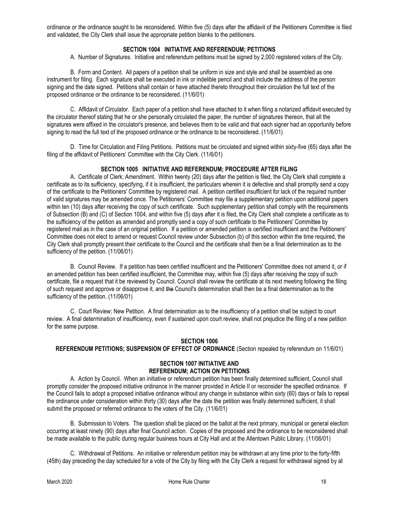ordinance or the ordinance sought to be reconsidered. Within five (5) days after the affidavit of the Petitioners Committee is filed and validated, the City Clerk shall issue the appropriate petition blanks to the petitioners.

#### **SECTION 1004 INITIATIVE AND REFERENDUM; PETITIONS**

A. Number of Signatures. Initiative and referendum petitions must be signed by 2,000 registered voters of the City.

B. Form and Content. All papers of a petition shall be uniform in size and style and shall be assembled as one instrument for filing. Each signature shall be executed in ink or indelible pencil and shall include the address of the person signing and the date signed. Petitions shall contain or have attached thereto throughout their circulation the full text of the proposed ordinance or the ordinance to be reconsidered. (11/6/01)

C. Affidavit of Circulator. Each paper of a petition shall have attached to it when filing a notarized affidavit executed by the circulator thereof stating that he or she personally circulated the paper, the number of signatures thereon, that all the signatures were affixed in the circulator's presence, and believes them to be valid and that each signer had an opportunity before signing to read the full text of the proposed ordinance or the ordinance to be reconsidered. (11/6/01)

D. Time for Circulation and Filing Petitions. Petitions must be circulated and signed within sixty-five (65) days after the filing of the affidavit of Petitioners' Committee with the City Clerk. (11/6/01)

#### **SECTION 1005 INITIATIVE AND REFERENDUM; PROCEDURE AFTER FILING**

A. Certificate of Clerk; Amendment. Within twenty (20) days after the petition is filed, the City Clerk shall complete a certificate as to its sufficiency, specifying, if it is insufficient, the particulars wherein it is defective and shall promptly send a copy of the certificate to the Petitioners' Committee by registered mail. A petition certified insufficient for lack of the required number of valid signatures may be amended once. The Petitioners' Committee may file a supplementary petition upon additional papers within ten (10) days after receiving the copy of such certificate. Such supplementary petition shall comply with the requirements of Subsection (B) and (C) of Section 1004, and within five (5) days after it is filed, the City Clerk shall complete a certificate as to the sufficiency of the petition as amended and promptly send a copy of such certificate to the Petitioners' Committee by registered mail as in the case of an original petition. If a petition or amended petition is certified insufficient and the Petitioners' Committee does not elect to amend or request Council review under Subsection (b) of this section within the time required, the City Clerk shall promptly present their certificate to the Council and the certificate shall then be a final determination as to the sufficiency of the petition. (11/06/01)

B. Council Review. If a petition has been certified insufficient and the Petitioners' Committee does not amend it, or if an amended petition has been certified insufficient, the Committee may, within five (5) days after receiving the copy of such certificate, file a request that it be reviewed by Council. Council shall review the certificate at its next meeting following the filing of such request and approve or disapprove it, and the Council's determination shall then be a final determination as to the sufficiency of the petition. (11/06/01)

C. Court Review; New Petition. A final determination as to the insufficiency of a petition shall be subject to court review. A final determination of insufficiency, even if sustained upon court review, shall not prejudice the filing of a new petition for the same purpose.

#### **SECTION 1006**

#### **REFERENDUM PETITIONS; SUSPENSION OF EFFECT OF ORDINANCE** (Section repealed by referendum on 11/6/01)

#### **SECTION 1007 INITIATIVE AND REFERENDUM; ACTION ON PETITIONS**

A. Action by Council. When an initiative or referendum petition has been finally determined sufficient, Council shall promptly consider the proposed initiative ordinance in the manner provided in Article II or reconsider the specified ordinance. If the Council fails to adopt a proposed initiative ordinance without any change in substance within sixty (60) days or fails to repeal the ordinance under consideration within thirty (30) days after the date the petition was finally determined sufficient, it shall submit the proposed or referred ordinance to the voters of the City. (11/6/01)

B. Submission to Voters. The question shall be placed on the ballot at the next primary, municipal or general election occurring at least ninety (90) days after final Council action. Copies of the proposed and the ordinance to be reconsidered shall be made available to the public during regular business hours at City Hall and at the Allentown Public Library. (11/06/01)

C. Withdrawal of Petitions. An initiative or referendum petition may be withdrawn at any time prior to the forty-fifth (45th) day preceding the day scheduled for a vote of the City by filing with the City Clerk a request for withdrawal signed by at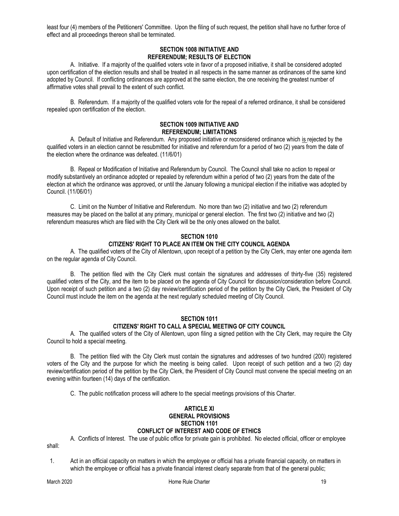least four (4) members of the Petitioners' Committee. Upon the filing of such request, the petition shall have no further force of effect and all proceedings thereon shall be terminated.

#### **SECTION 1008 INITIATIVE AND REFERENDUM; RESULTS OF ELECTION**

A. Initiative. If a majority of the qualified voters vote in favor of a proposed initiative, it shall be considered adopted upon certification of the election results and shall be treated in all respects in the same manner as ordinances of the same kind adopted by Council. If conflicting ordinances are approved at the same election, the one receiving the greatest number of affirmative votes shall prevail to the extent of such conflict.

B. Referendum. If a majority of the qualified voters vote for the repeal of a referred ordinance, it shall be considered repealed upon certification of the election.

#### **SECTION 1009 INITIATIVE AND REFERENDUM; LIMITATIONS**

A. Default of Initiative and Referendum. Any proposed initiative or reconsidered ordinance which is rejected by the qualified voters in an election cannot be resubmitted for initiative and referendum for a period of two (2) years from the date of the election where the ordinance was defeated. (11/6/01)

B. Repeal or Modification of Initiative and Referendum by Council. The Council shall take no action to repeal or modify substantively an ordinance adopted or repealed by referendum within a period of two (2) years from the date of the election at which the ordinance was approved, or until the January following a municipal election if the initiative was adopted by Council. (11/06/01)

C. Limit on the Number of Initiative and Referendum. No more than two (2) initiative and two (2) referendum measures may be placed on the ballot at any primary, municipal or general election. The first two (2) initiative and two (2) referendum measures which are filed with the City Clerk will be the only ones allowed on the ballot.

#### **SECTION 1010 CITIZENS' RIGHT TO PLACE AN ITEM ON THE CITY COUNCIL AGENDA**

A. The qualified voters of the City of Allentown, upon receipt of a petition by the City Clerk, may enter one agenda item on the regular agenda of City Council.

B. The petition filed with the City Clerk must contain the signatures and addresses of thirty-five (35) registered qualified voters of the City, and the item to be placed on the agenda of City Council for discussion/consideration before Council. Upon receipt of such petition and a two (2) day review/certification period of the petition by the City Clerk, the President of City Council must include the item on the agenda at the next regularly scheduled meeting of City Council.

#### **SECTION 1011 CITIZENS' RIGHT TO CALL A SPECIAL MEETING OF CITY COUNCIL**

A. The qualified voters of the City of Allentown, upon filing a signed petition with the City Clerk, may require the City Council to hold a special meeting.

B. The petition filed with the City Clerk must contain the signatures and addresses of two hundred (200) registered voters of the City and the purpose for which the meeting is being called. Upon receipt of such petition and a two (2) day review/certification period of the petition by the City Clerk, the President of City Council must convene the special meeting on an evening within fourteen (14) days of the certification.

C. The public notification process will adhere to the special meetings provisions of this Charter.

#### **ARTICLE XI GENERAL PROVISIONS SECTION 1101 CONFLICT OF INTEREST AND CODE OF ETHICS**

A. Conflicts of Interest. The use of public office for private gain is prohibited. No elected official, officer or employee

shall:

 1. Act in an official capacity on matters in which the employee or official has a private financial capacity, on matters in which the employee or official has a private financial interest clearly separate from that of the general public;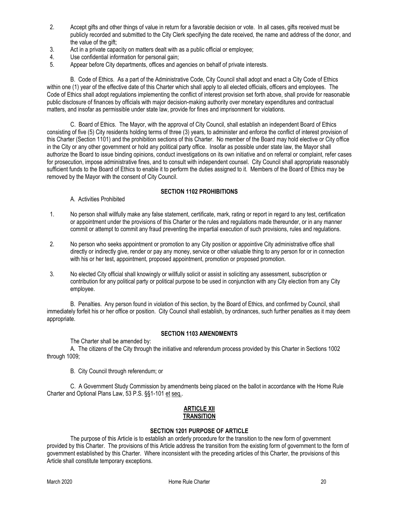- 2. Accept gifts and other things of value in return for a favorable decision or vote. In all cases, gifts received must be publicly recorded and submitted to the City Clerk specifying the date received, the name and address of the donor, and the value of the gift;
- 3. Act in a private capacity on matters dealt with as a public official or employee;
- 4. Use confidential information for personal gain;<br>5. Appear before City departments, offices and a
- Appear before City departments, offices and agencies on behalf of private interests.

B. Code of Ethics. As a part of the Administrative Code, City Council shall adopt and enact a City Code of Ethics within one (1) year of the effective date of this Charter which shall apply to all elected officials, officers and employees. The Code of Ethics shall adopt regulations implementing the conflict of interest provision set forth above, shall provide for reasonable public disclosure of finances by officials with major decision-making authority over monetary expenditures and contractual matters, and insofar as permissible under state law, provide for fines and imprisonment for violations.

C. Board of Ethics. The Mayor, with the approval of City Council, shall establish an independent Board of Ethics consisting of five (5) City residents holding terms of three (3) years, to administer and enforce the conflict of interest provision of this Charter (Section 1101) and the prohibition sections of this Charter. No member of the Board may hold elective or City office in the City or any other government or hold any political party office. Insofar as possible under state law, the Mayor shall authorize the Board to issue binding opinions, conduct investigations on its own initiative and on referral or complaint, refer cases for prosecution, impose administrative fines, and to consult with independent counsel. City Council shall appropriate reasonably sufficient funds to the Board of Ethics to enable it to perform the duties assigned to it. Members of the Board of Ethics may be removed by the Mayor with the consent of City Council.

#### **SECTION 1102 PROHIBITIONS**

A. Activities Prohibited

- 1. No person shall willfully make any false statement, certificate, mark, rating or report in regard to any test, certification or appointment under the provisions of this Charter or the rules and regulations made thereunder, or in any manner commit or attempt to commit any fraud preventing the impartial execution of such provisions, rules and regulations.
- 2. No person who seeks appointment or promotion to any City position or appointive City administrative office shall directly or indirectly give, render or pay any money, service or other valuable thing to any person for or in connection with his or her test, appointment, proposed appointment, promotion or proposed promotion.
- 3. No elected City official shall knowingly or willfully solicit or assist in soliciting any assessment, subscription or contribution for any political party or political purpose to be used in conjunction with any City election from any City employee.

B. Penalties. Any person found in violation of this section, by the Board of Ethics, and confirmed by Council, shall immediately forfeit his or her office or position. City Council shall establish, by ordinances, such further penalties as it may deem appropriate.

#### **SECTION 1103 AMENDMENTS**

The Charter shall be amended by:

A. The citizens of the City through the initiative and referendum process provided by this Charter in Sections 1002 through 1009;

B. City Council through referendum; or

C. A Government Study Commission by amendments being placed on the ballot in accordance with the Home Rule Charter and Optional Plans Law, 53 P.S. §§1-101 et seq..

#### **ARTICLE XII TRANSITION**

#### **SECTION 1201 PURPOSE OF ARTICLE**

The purpose of this Article is to establish an orderly procedure for the transition to the new form of government provided by this Charter. The provisions of this Article address the transition from the existing form of government to the form of government established by this Charter. Where inconsistent with the preceding articles of this Charter, the provisions of this Article shall constitute temporary exceptions.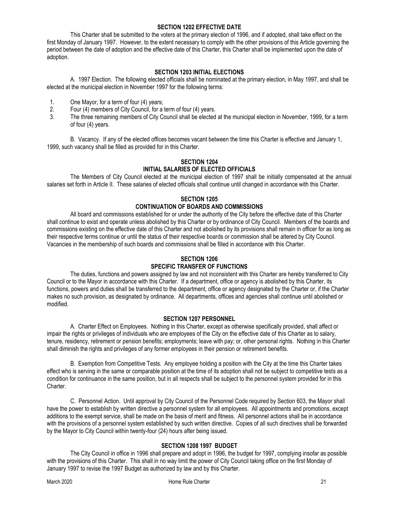#### **SECTION 1202 EFFECTIVE DATE**

This Charter shall be submitted to the voters at the primary election of 1996, and if adopted, shall take effect on the first Monday of January 1997. However, to the extent necessary to comply with the other provisions of this Article governing the period between the date of adoption and the effective date of this Charter, this Charter shall be implemented upon the date of adoption.

#### **SECTION 1203 INITIAL ELECTIONS**

A. 1997 Election. The following elected officials shall be nominated at the primary election, in May 1997, and shall be elected at the municipal election in November 1997 for the following terms:

- 1. One Mayor, for a term of four (4) years;
- 2. Four (4) members of City Council, for a term of four (4) years.<br>3. The three remaining members of City Council shall be elected
- The three remaining members of City Council shall be elected at the municipal election in November, 1999, for a term of four (4) years.

B. Vacancy. If any of the elected offices becomes vacant between the time this Charter is effective and January 1, 1999, such vacancy shall be filled as provided for in this Charter.

# **SECTION 1204**

### **INITIAL SALARIES OF ELECTED OFFICIALS**

The Members of City Council elected at the municipal election of 1997 shall be initially compensated at the annual salaries set forth in Article II. These salaries of elected officials shall continue until changed in accordance with this Charter.

## **SECTION 1205 CONTINUATION OF BOARDS AND COMMISSIONS**

All board and commissions established for or under the authority of the City before the effective date of this Charter shall continue to exist and operate unless abolished by this Charter or by ordinance of City Council. Members of the boards and commissions existing on the effective date of this Charter and not abolished by its provisions shall remain in officer for as long as their respective terms continue or until the status of their respective boards or commission shall be altered by City Council. Vacancies in the membership of such boards and commissions shall be filled in accordance with this Charter.

#### **SECTION 1206 SPECIFIC TRANSFER OF FUNCTIONS**

The duties, functions and powers assigned by law and not inconsistent with this Charter are hereby transferred to City Council or to the Mayor in accordance with this Charter. If a department, office or agency is abolished by this Charter, its functions, powers and duties shall be transferred to the department, office or agency designated by the Charter or, if the Charter makes no such provision, as designated by ordinance. All departments, offices and agencies shall continue until abolished or modified.

#### **SECTION 1207 PERSONNEL**

A. Charter Effect on Employees. Nothing in this Charter, except as otherwise specifically provided, shall affect or impair the rights or privileges of individuals who are employees of the City on the effective date of this Charter as to salary, tenure, residency, retirement or pension benefits; employments; leave with pay; or, other personal rights. Nothing in this Charter shall diminish the rights and privileges of any former employees in their pension or retirement benefits.

B. Exemption from Competitive Tests. Any employee holding a position with the City at the time this Charter takes effect who is serving in the same or comparable position at the time of its adoption shall not be subject to competitive tests as a condition for continuance in the same position, but in all respects shall be subject to the personnel system provided for in this Charter.

C. Personnel Action. Until approval by City Council of the Personnel Code required by Section 603, the Mayor shall have the power to establish by written directive a personnel system for all employees. All appointments and promotions, except additions to the exempt service, shall be made on the basis of merit and fitness. All personnel actions shall be in accordance with the provisions of a personnel system established by such written directive. Copies of all such directives shall be forwarded by the Mayor to City Council within twenty-four (24) hours after being issued.

#### **SECTION 1208 1997 BUDGET**

The City Council in office in 1996 shall prepare and adopt in 1996, the budget for 1997, complying insofar as possible with the provisions of this Charter. This shall in no way limit the power of City Council taking office on the first Monday of January 1997 to revise the 1997 Budget as authorized by law and by this Charter.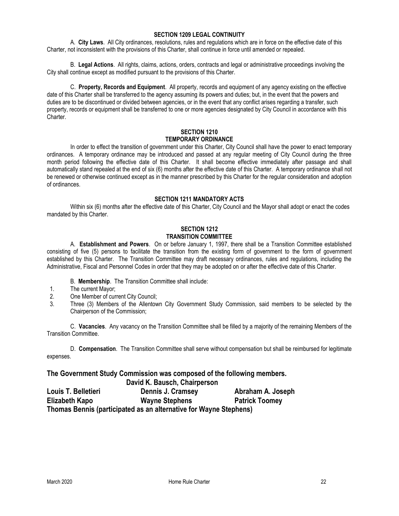#### **SECTION 1209 LEGAL CONTINUITY**

A. **City Laws**. All City ordinances, resolutions, rules and regulations which are in force on the effective date of this Charter, not inconsistent with the provisions of this Charter, shall continue in force until amended or repealed.

B. **Legal Actions**. All rights, claims, actions, orders, contracts and legal or administrative proceedings involving the City shall continue except as modified pursuant to the provisions of this Charter.

C. **Property, Records and Equipment**. All property, records and equipment of any agency existing on the effective date of this Charter shall be transferred to the agency assuming its powers and duties; but, in the event that the powers and duties are to be discontinued or divided between agencies, or in the event that any conflict arises regarding a transfer, such property, records or equipment shall be transferred to one or more agencies designated by City Council in accordance with this Charter.

#### **SECTION 1210 TEMPORARY ORDINANCE**

In order to effect the transition of government under this Charter, City Council shall have the power to enact temporary ordinances. A temporary ordinance may be introduced and passed at any regular meeting of City Council during the three month period following the effective date of this Charter. It shall become effective immediately after passage and shall automatically stand repealed at the end of six (6) months after the effective date of this Charter. A temporary ordinance shall not be renewed or otherwise continued except as in the manner prescribed by this Charter for the regular consideration and adoption of ordinances.

#### **SECTION 1211 MANDATORY ACTS**

Within six (6) months after the effective date of this Charter, City Council and the Mayor shall adopt or enact the codes mandated by this Charter.

#### **SECTION 1212 TRANSITION COMMITTEE**

A. **Establishment and Powers**. On or before January 1, 1997, there shall be a Transition Committee established consisting of five (5) persons to facilitate the transition from the existing form of government to the form of government established by this Charter. The Transition Committee may draft necessary ordinances, rules and regulations, including the Administrative, Fiscal and Personnel Codes in order that they may be adopted on or after the effective date of this Charter.

B. **Membership**. The Transition Committee shall include:

- 1. The current Mayor;
- 2. One Member of current City Council;
- 3. Three (3) Members of the Allentown City Government Study Commission, said members to be selected by the Chairperson of the Commission;

C. **Vacancies**. Any vacancy on the Transition Committee shall be filled by a majority of the remaining Members of the Transition Committee.

D. **Compensation**. The Transition Committee shall serve without compensation but shall be reimbursed for legitimate expenses.

#### **The Government Study Commission was composed of the following members.**

 **David K. Bausch, Chairperson**

**Louis T. Belletieri Dennis J. Cramsey Abraham A. Joseph Elizabeth Kapo Wayne Stephens Patrick Toomey Thomas Bennis (participated as an alternative for Wayne Stephens)**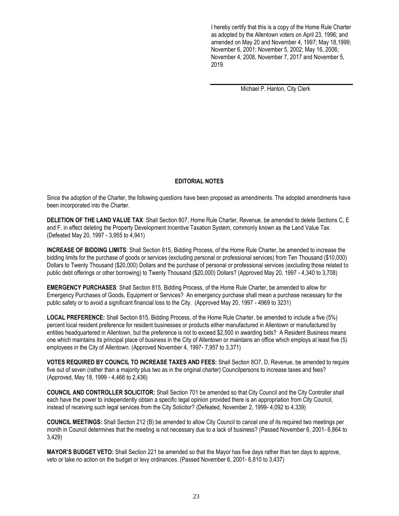I hereby certify that this is a copy of the Home Rule Charter as adopted by the Allentown voters on April 23, 1996; and amended on May 20 and November 4, 1997; May 18,1999; November 6, 2001; November 5, 2002; May 16, 2006; November 4, 2008, November 7, 2017 and November 5, 2019.

Michael P. Hanlon, City Clerk

#### **EDITORIAL NOTES**

Since the adoption of the Charter, the following questions have been proposed as amendments. The adopted amendments have been incorporated into the Charter.

**DELETION OF THE LAND VALUE TAX**: Shall Section 807, Home Rule Charter, Revenue, be amended to delete Sections C, E and F, in effect deleting the Property Development Incentive Taxation System, commonly known as the Land Value Tax. (Defeated May 20, 1997 - 3,955 to 4,941)

**INCREASE OF BIDDING LIMITS**: Shall Section 815, Bidding Process, of the Home Rule Charter, be amended to increase the bidding limits for the purchase of goods or services (excluding personal or professional services) from Ten Thousand (\$10,000) Dollars to Twenty Thousand (\$20,000) Dollars and the purchase of personal or professional services (excluding those related to public debt offerings or other borrowing) to Twenty Thousand (\$20,000) Dollars? (Approved May 20, 1997 - 4,340 to 3,708)

**EMERGENCY PURCHASES**: Shall Section 815, Bidding Process, of the Home Rule Charter, be amended to allow for Emergency Purchases of Goods, Equipment or Services? An emergency purchase shall mean a purchase necessary for the public safety or to avoid a significant financial loss to the City. (Approved May 20, 1997 - 4969 to 3231)

**LOCAL PREFERENCE:** Shall Section 815, Bidding Process, of the Home Rule Charter, be amended to include a five (5%) percent local resident preference for resident businesses or products either manufactured in Allentown or manufactured by entities headquartered in Allentown, but the preference is not to exceed \$2,500 in awarding bids? A Resident Business means one which maintains its principal place of business in the City of Allentown or maintains an office which employs at least five (5) employees in the City of Allentown. (Approved November 4, 1997- 7,957 to 3,371)

**VOTES REQUIRED BY COUNCIL TO INCREASE TAXES AND FEES:** Shall Section 8O7, D, Revenue, be amended to require five out of seven (rather than a majority plus two as in the original charter) Councilpersons to increase taxes and fees? (Approved, May 18, 1999 - 4,466 to 2,436)

**COUNCIL AND CONTROLLER SOLICITOR:** Shall Section 701 be amended so that City Council and the City Controller shall each have the power to independently obtain a specific legal opinion provided there is an appropriation from City Council, instead of receiving such legal services from the City Solicitor? (Defeated, November 2, 1999- 4,092 to 4,339)

**COUNCIL MEETINGS:** Shall Section 212 (B) be amended to allow City Council to cancel one of its required two meetings per month in Council determines that the meeting is not necessary due to a lack of business? (Passed November 6, 2001- 6,864 to 3,429)

**MAYOR'S BUDGET VETO:** Shall Section 221 be amended so that the Mayor has five days rather than ten days to approve, veto or take no action on the budget or levy ordinances. (Passed November 6, 2001- 6,810 to 3,437)